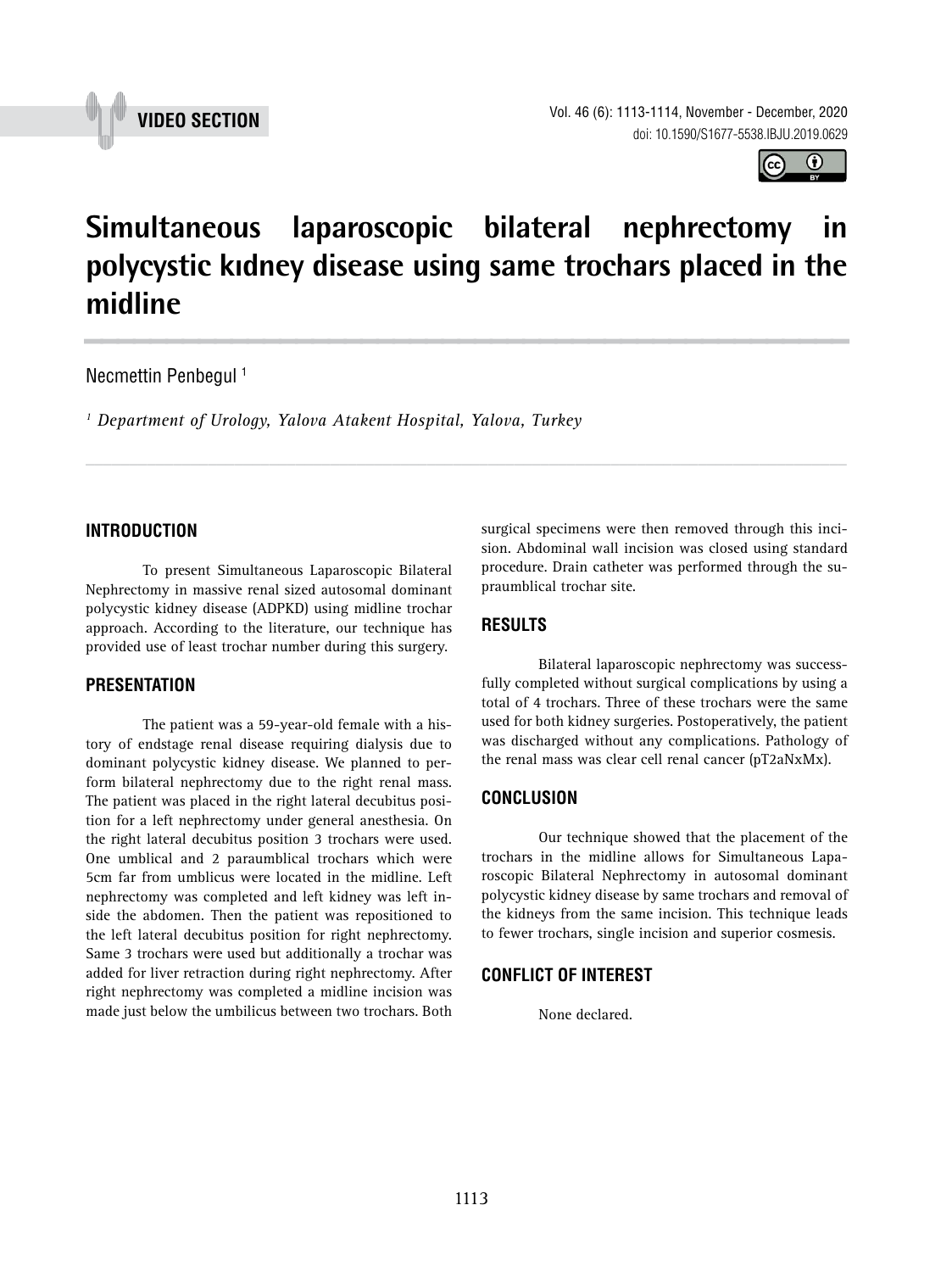



# **Simultaneous laparoscopic bilateral nephrectomy in polycystic kıdney disease using same trochars placed in the midline \_\_\_\_\_\_\_\_\_\_\_\_\_\_\_\_\_\_\_\_\_\_\_\_\_\_\_\_\_\_\_\_\_\_\_\_\_\_\_\_\_\_\_\_\_\_\_**

*\_\_\_\_\_\_\_\_\_\_\_\_\_\_\_\_\_\_\_\_\_\_\_\_\_\_\_\_\_\_\_\_\_\_\_\_\_\_\_\_\_\_\_\_\_\_\_\_\_\_\_\_\_\_\_\_\_\_\_\_\_\_\_\_\_\_\_\_\_\_\_\_\_\_\_\_\_\_\_\_\_\_\_\_\_\_\_*

### Necmettin Penbegul<sup>1</sup>

*1 Department of Urology, Yalova Atakent Hospital, Yalova, Turkey*

### **INTRODUCTION**

To present Simultaneous Laparoscopic Bilateral Nephrectomy in massive renal sized autosomal dominant polycystic kidney disease (ADPKD) using midline trochar approach. According to the literature, our technique has provided use of least trochar number during this surgery.

### **PRESENTATION**

The patient was a 59-year-old female with a history of endstage renal disease requiring dialysis due to dominant polycystic kidney disease. We planned to perform bilateral nephrectomy due to the right renal mass. The patient was placed in the right lateral decubitus position for a left nephrectomy under general anesthesia. On the right lateral decubitus position 3 trochars were used. One umblical and 2 paraumblical trochars which were 5cm far from umblicus were located in the midline. Left nephrectomy was completed and left kidney was left inside the abdomen. Then the patient was repositioned to the left lateral decubitus position for right nephrectomy. Same 3 trochars were used but additionally a trochar was added for liver retraction during right nephrectomy. After right nephrectomy was completed a midline incision was made just below the umbilicus between two trochars. Both

surgical specimens were then removed through this incision. Abdominal wall incision was closed using standard procedure. Drain catheter was performed through the supraumblical trochar site.

## **RESULTS**

Bilateral laparoscopic nephrectomy was successfully completed without surgical complications by using a total of 4 trochars. Three of these trochars were the same used for both kidney surgeries. Postoperatively, the patient was discharged without any complications. Pathology of the renal mass was clear cell renal cancer (pT2aNxMx).

### **CONCLUSION**

Our technique showed that the placement of the trochars in the midline allows for Simultaneous Laparoscopic Bilateral Nephrectomy in autosomal dominant polycystic kidney disease by same trochars and removal of the kidneys from the same incision. This technique leads to fewer trochars, single incision and superior cosmesis.

#### **CONFLICT OF INTEREST**

None declared.